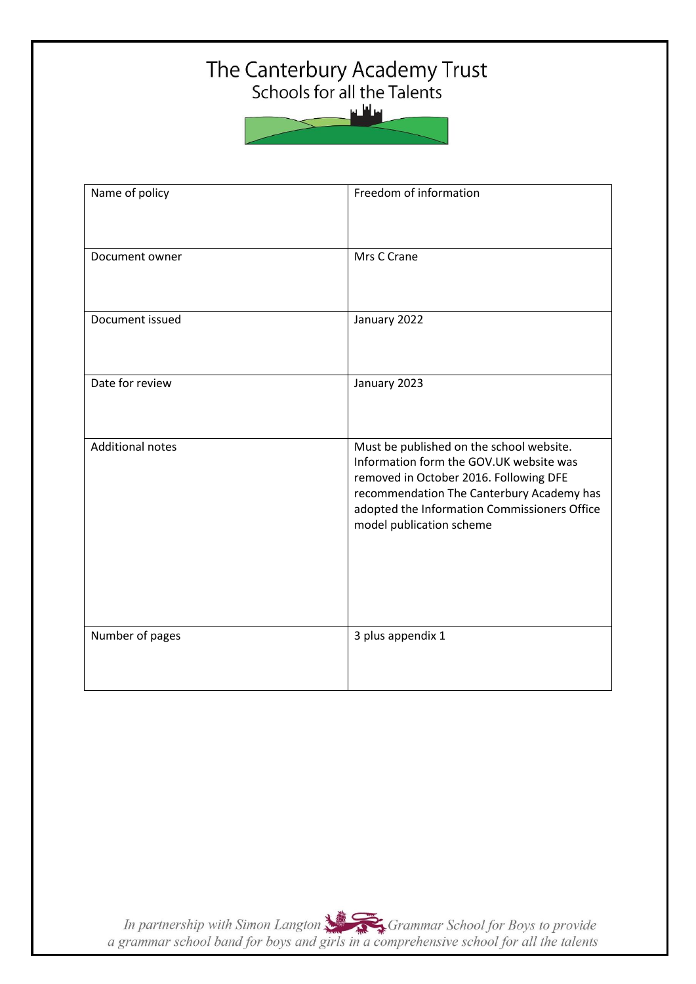# The Canterbury Academy Trust<br>Schools for all the Talents

سافلس



| Name of policy          | Freedom of information                                                                                                                                                                                                                                 |
|-------------------------|--------------------------------------------------------------------------------------------------------------------------------------------------------------------------------------------------------------------------------------------------------|
| Document owner          | Mrs C Crane                                                                                                                                                                                                                                            |
| Document issued         | January 2022                                                                                                                                                                                                                                           |
| Date for review         | January 2023                                                                                                                                                                                                                                           |
| <b>Additional notes</b> | Must be published on the school website.<br>Information form the GOV.UK website was<br>removed in October 2016. Following DFE<br>recommendation The Canterbury Academy has<br>adopted the Information Commissioners Office<br>model publication scheme |
| Number of pages         | 3 plus appendix 1                                                                                                                                                                                                                                      |

In partnership with Simon Langton Sexting Grammar School for Boys to provide<br>a grammar school band for boys and girls in a comprehensive school for all the talents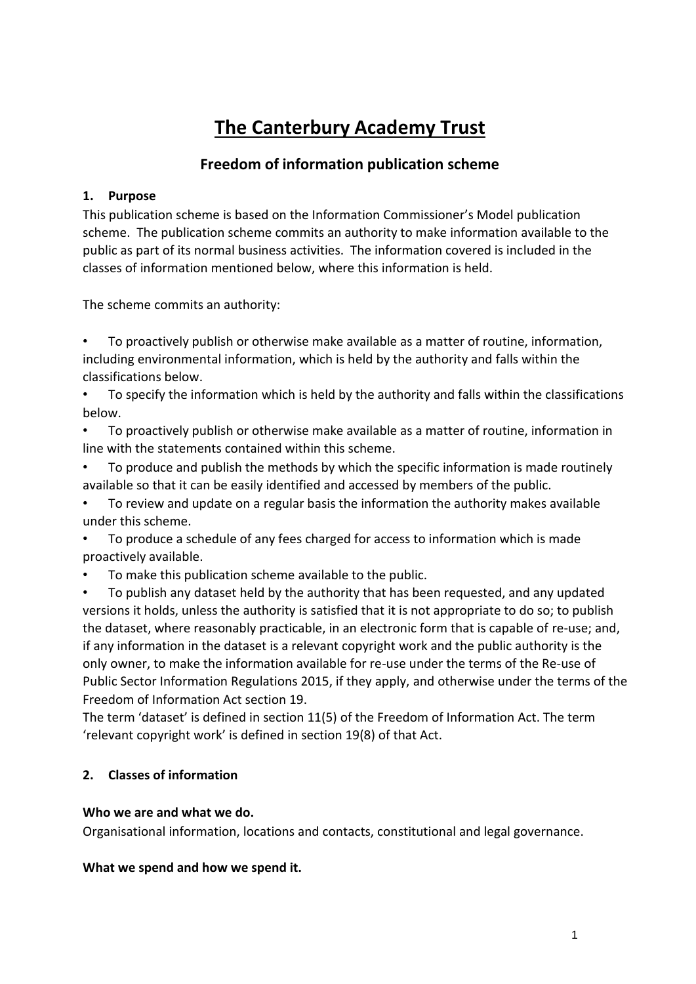# **The Canterbury Academy Trust**

# **Freedom of information publication scheme**

## **1. Purpose**

This publication scheme is based on the Information Commissioner's Model publication scheme. The publication scheme commits an authority to make information available to the public as part of its normal business activities. The information covered is included in the classes of information mentioned below, where this information is held.

The scheme commits an authority:

• To proactively publish or otherwise make available as a matter of routine, information, including environmental information, which is held by the authority and falls within the classifications below.

• To specify the information which is held by the authority and falls within the classifications below.

• To proactively publish or otherwise make available as a matter of routine, information in line with the statements contained within this scheme.

• To produce and publish the methods by which the specific information is made routinely available so that it can be easily identified and accessed by members of the public.

• To review and update on a regular basis the information the authority makes available under this scheme.

• To produce a schedule of any fees charged for access to information which is made proactively available.

• To make this publication scheme available to the public.

• To publish any dataset held by the authority that has been requested, and any updated versions it holds, unless the authority is satisfied that it is not appropriate to do so; to publish the dataset, where reasonably practicable, in an electronic form that is capable of re-use; and, if any information in the dataset is a relevant copyright work and the public authority is the only owner, to make the information available for re-use under the terms of the Re-use of Public Sector Information Regulations 2015, if they apply, and otherwise under the terms of the Freedom of Information Act section 19.

The term 'dataset' is defined in section 11(5) of the Freedom of Information Act. The term 'relevant copyright work' is defined in section 19(8) of that Act.

# **2. Classes of information**

## **Who we are and what we do.**

Organisational information, locations and contacts, constitutional and legal governance.

## **What we spend and how we spend it.**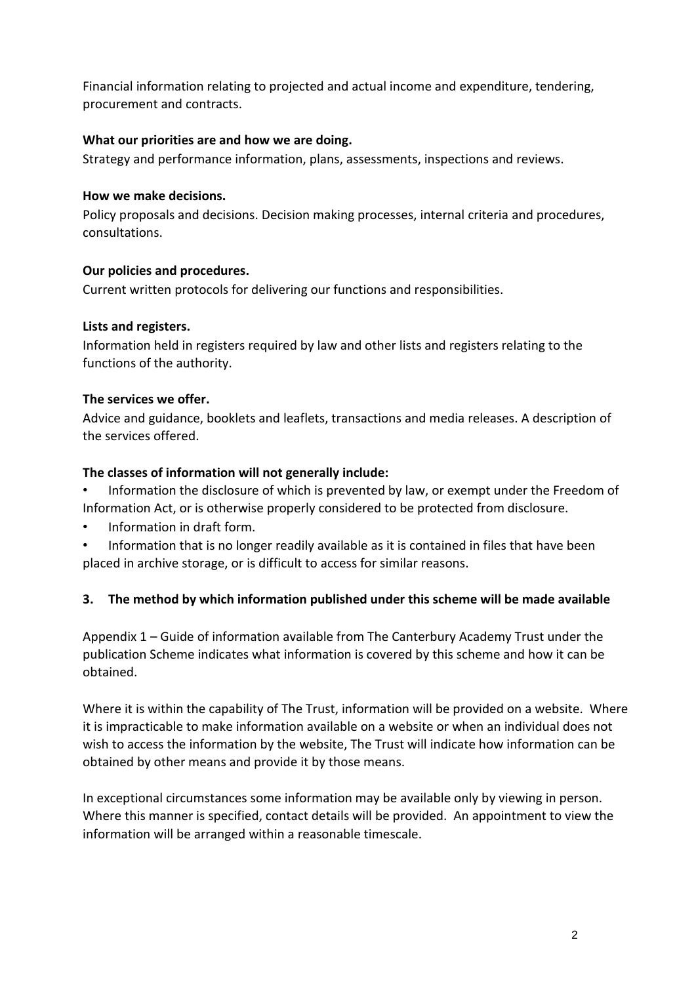Financial information relating to projected and actual income and expenditure, tendering, procurement and contracts.

# **What our priorities are and how we are doing.**

Strategy and performance information, plans, assessments, inspections and reviews.

## **How we make decisions.**

Policy proposals and decisions. Decision making processes, internal criteria and procedures, consultations.

# **Our policies and procedures.**

Current written protocols for delivering our functions and responsibilities.

# **Lists and registers.**

Information held in registers required by law and other lists and registers relating to the functions of the authority.

# **The services we offer.**

Advice and guidance, booklets and leaflets, transactions and media releases. A description of the services offered.

# **The classes of information will not generally include:**

• Information the disclosure of which is prevented by law, or exempt under the Freedom of Information Act, or is otherwise properly considered to be protected from disclosure.

- Information in draft form.
- Information that is no longer readily available as it is contained in files that have been placed in archive storage, or is difficult to access for similar reasons.

# **3. The method by which information published under this scheme will be made available**

Appendix 1 – Guide of information available from The Canterbury Academy Trust under the publication Scheme indicates what information is covered by this scheme and how it can be obtained.

Where it is within the capability of The Trust, information will be provided on a website. Where it is impracticable to make information available on a website or when an individual does not wish to access the information by the website, The Trust will indicate how information can be obtained by other means and provide it by those means.

In exceptional circumstances some information may be available only by viewing in person. Where this manner is specified, contact details will be provided. An appointment to view the information will be arranged within a reasonable timescale.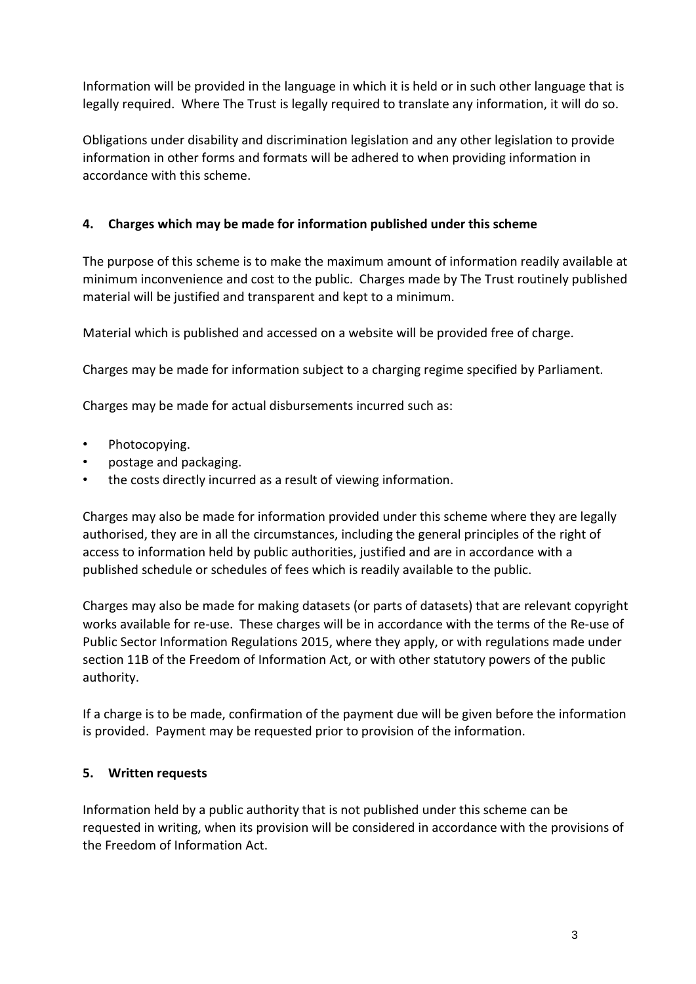Information will be provided in the language in which it is held or in such other language that is legally required. Where The Trust is legally required to translate any information, it will do so.

Obligations under disability and discrimination legislation and any other legislation to provide information in other forms and formats will be adhered to when providing information in accordance with this scheme.

# **4. Charges which may be made for information published under this scheme**

The purpose of this scheme is to make the maximum amount of information readily available at minimum inconvenience and cost to the public. Charges made by The Trust routinely published material will be justified and transparent and kept to a minimum.

Material which is published and accessed on a website will be provided free of charge.

Charges may be made for information subject to a charging regime specified by Parliament.

Charges may be made for actual disbursements incurred such as:

- Photocopying.
- postage and packaging.
- the costs directly incurred as a result of viewing information.

Charges may also be made for information provided under this scheme where they are legally authorised, they are in all the circumstances, including the general principles of the right of access to information held by public authorities, justified and are in accordance with a published schedule or schedules of fees which is readily available to the public.

Charges may also be made for making datasets (or parts of datasets) that are relevant copyright works available for re-use. These charges will be in accordance with the terms of the Re-use of Public Sector Information Regulations 2015, where they apply, or with regulations made under section 11B of the Freedom of Information Act, or with other statutory powers of the public authority.

If a charge is to be made, confirmation of the payment due will be given before the information is provided. Payment may be requested prior to provision of the information.

## **5. Written requests**

Information held by a public authority that is not published under this scheme can be requested in writing, when its provision will be considered in accordance with the provisions of the Freedom of Information Act.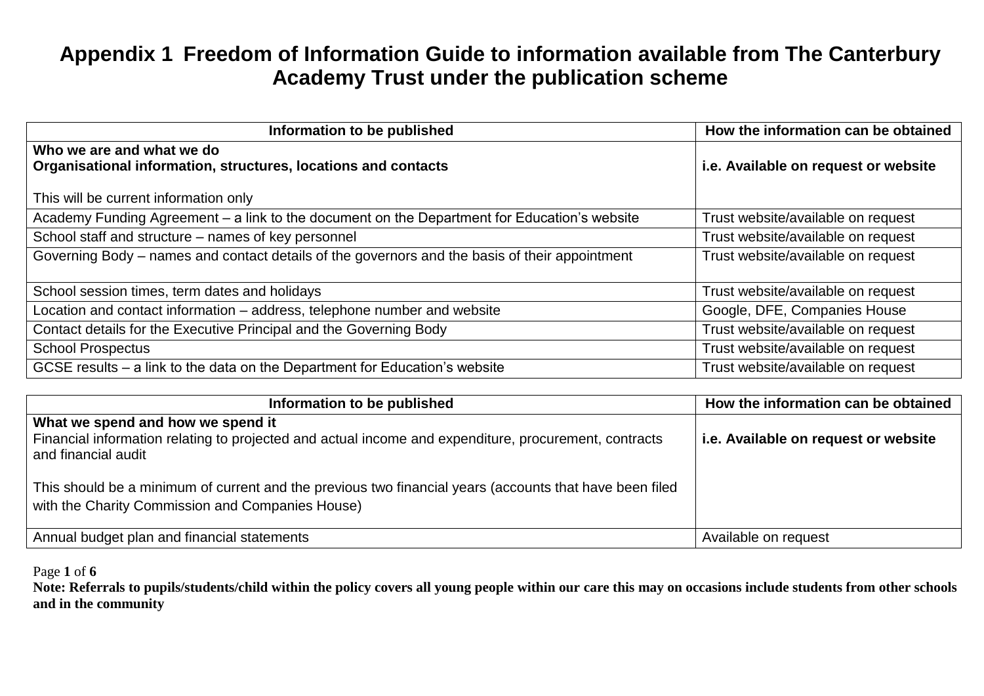| Information to be published                                                                    | How the information can be obtained  |
|------------------------------------------------------------------------------------------------|--------------------------------------|
| Who we are and what we do                                                                      |                                      |
| Organisational information, structures, locations and contacts                                 | i.e. Available on request or website |
| This will be current information only                                                          |                                      |
| Academy Funding Agreement – a link to the document on the Department for Education's website   | Trust website/available on request   |
| School staff and structure - names of key personnel                                            | Trust website/available on request   |
| Governing Body - names and contact details of the governors and the basis of their appointment | Trust website/available on request   |
|                                                                                                |                                      |
| School session times, term dates and holidays                                                  | Trust website/available on request   |
| Location and contact information - address, telephone number and website                       | Google, DFE, Companies House         |
| Contact details for the Executive Principal and the Governing Body                             | Trust website/available on request   |
| <b>School Prospectus</b>                                                                       | Trust website/available on request   |
| GCSE results - a link to the data on the Department for Education's website                    | Trust website/available on request   |

| Information to be published                                                                                                                                       | How the information can be obtained  |
|-------------------------------------------------------------------------------------------------------------------------------------------------------------------|--------------------------------------|
| What we spend and how we spend it<br>Financial information relating to projected and actual income and expenditure, procurement, contracts<br>and financial audit | i.e. Available on request or website |
| This should be a minimum of current and the previous two financial years (accounts that have been filed<br>with the Charity Commission and Companies House)       |                                      |
| Annual budget plan and financial statements                                                                                                                       | Available on request                 |

Page **1** of **6**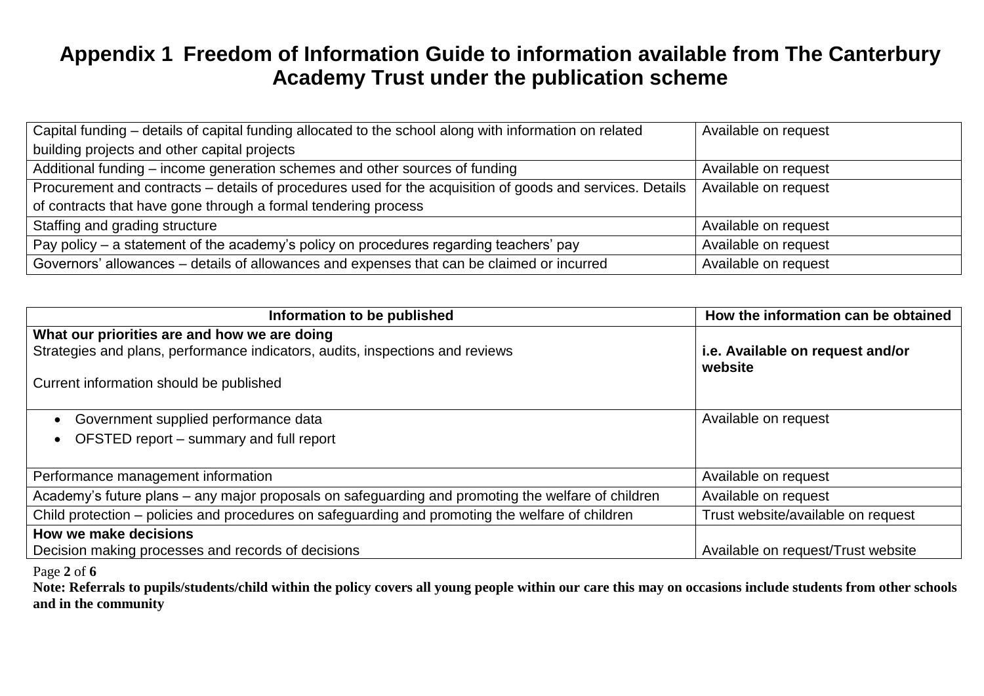| Capital funding – details of capital funding allocated to the school along with information on related    | Available on request |
|-----------------------------------------------------------------------------------------------------------|----------------------|
| building projects and other capital projects                                                              |                      |
| Additional funding – income generation schemes and other sources of funding                               | Available on request |
| Procurement and contracts – details of procedures used for the acquisition of goods and services. Details | Available on request |
| of contracts that have gone through a formal tendering process                                            |                      |
| Staffing and grading structure                                                                            | Available on request |
| Pay policy – a statement of the academy's policy on procedures regarding teachers' pay                    | Available on request |
| Governors' allowances - details of allowances and expenses that can be claimed or incurred                | Available on request |

| Information to be published                                                                        | How the information can be obtained         |
|----------------------------------------------------------------------------------------------------|---------------------------------------------|
| What our priorities are and how we are doing                                                       |                                             |
| Strategies and plans, performance indicators, audits, inspections and reviews                      | i.e. Available on request and/or<br>website |
| Current information should be published                                                            |                                             |
| Government supplied performance data                                                               | Available on request                        |
| OFSTED report - summary and full report                                                            |                                             |
| Performance management information                                                                 | Available on request                        |
| Academy's future plans – any major proposals on safeguarding and promoting the welfare of children | Available on request                        |
| Child protection – policies and procedures on safeguarding and promoting the welfare of children   | Trust website/available on request          |
| How we make decisions                                                                              |                                             |
| Decision making processes and records of decisions                                                 | Available on request/Trust website          |

Page **2** of **6**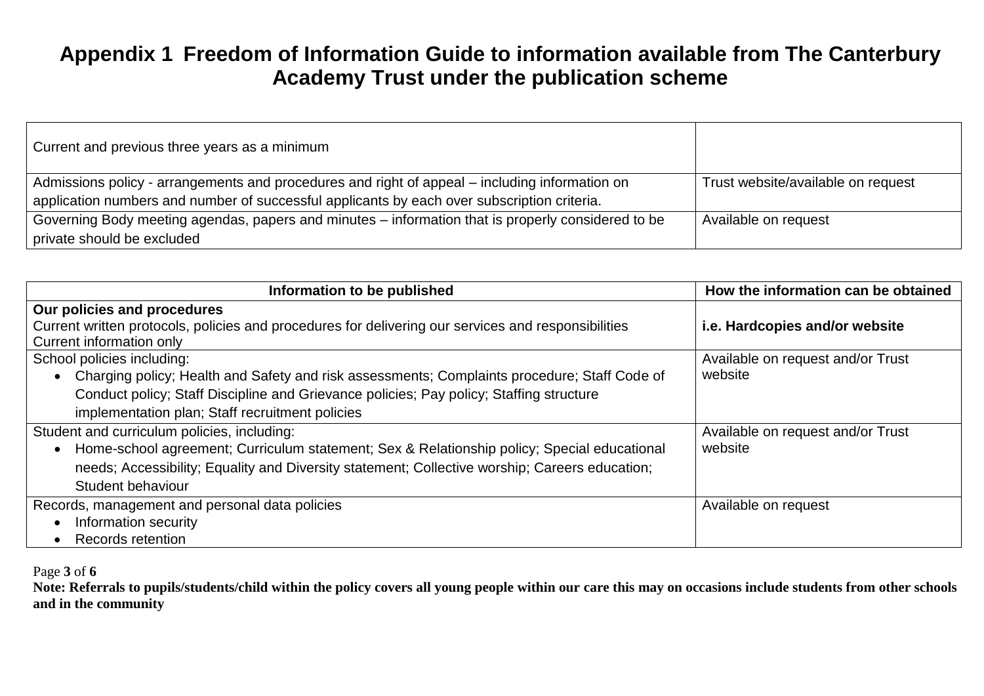| Current and previous three years as a minimum                                                      |                                    |
|----------------------------------------------------------------------------------------------------|------------------------------------|
| Admissions policy - arrangements and procedures and right of appeal – including information on     | Trust website/available on request |
| application numbers and number of successful applicants by each over subscription criteria.        |                                    |
| Governing Body meeting agendas, papers and minutes – information that is properly considered to be | Available on request               |
| private should be excluded                                                                         |                                    |

| Information to be published                                                                              | How the information can be obtained |
|----------------------------------------------------------------------------------------------------------|-------------------------------------|
| Our policies and procedures                                                                              |                                     |
| Current written protocols, policies and procedures for delivering our services and responsibilities      | i.e. Hardcopies and/or website      |
| Current information only                                                                                 |                                     |
| School policies including:                                                                               | Available on request and/or Trust   |
| Charging policy; Health and Safety and risk assessments; Complaints procedure; Staff Code of             | website                             |
| Conduct policy; Staff Discipline and Grievance policies; Pay policy; Staffing structure                  |                                     |
| implementation plan; Staff recruitment policies                                                          |                                     |
| Student and curriculum policies, including:                                                              | Available on request and/or Trust   |
| Home-school agreement; Curriculum statement; Sex & Relationship policy; Special educational<br>$\bullet$ | website                             |
| needs; Accessibility; Equality and Diversity statement; Collective worship; Careers education;           |                                     |
| Student behaviour                                                                                        |                                     |
| Records, management and personal data policies                                                           | Available on request                |
| Information security                                                                                     |                                     |
| Records retention                                                                                        |                                     |

Page **3** of **6**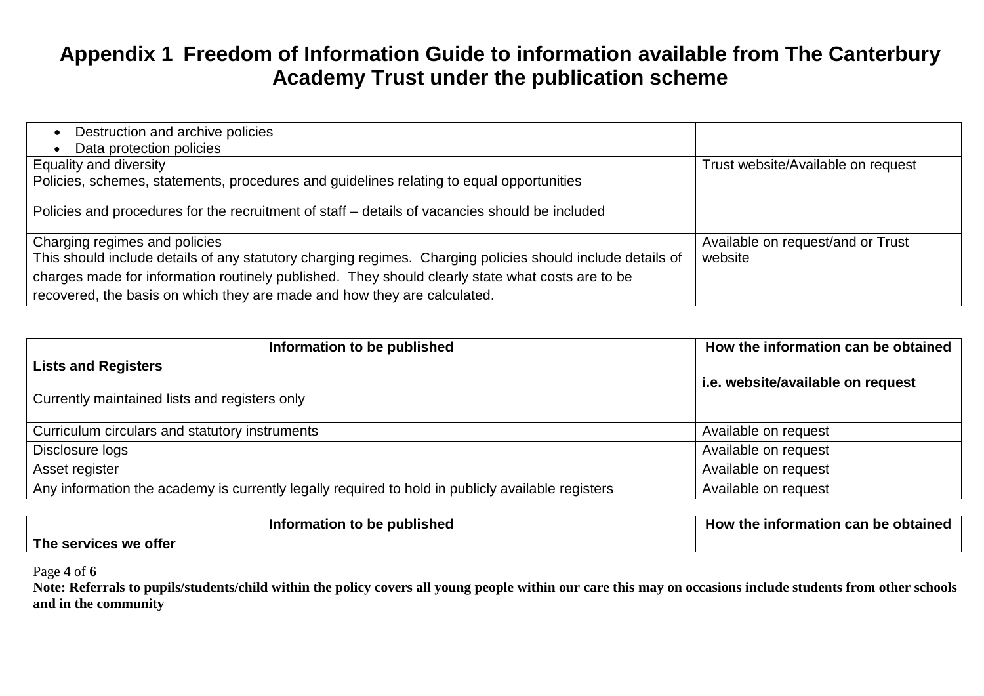| Destruction and archive policies<br>Data protection policies                                                                                                                                                                                                                                                                |                                              |
|-----------------------------------------------------------------------------------------------------------------------------------------------------------------------------------------------------------------------------------------------------------------------------------------------------------------------------|----------------------------------------------|
| Equality and diversity<br>Policies, schemes, statements, procedures and guidelines relating to equal opportunities                                                                                                                                                                                                          | Trust website/Available on request           |
| Policies and procedures for the recruitment of staff – details of vacancies should be included                                                                                                                                                                                                                              |                                              |
| Charging regimes and policies<br>This should include details of any statutory charging regimes. Charging policies should include details of<br>charges made for information routinely published. They should clearly state what costs are to be<br>recovered, the basis on which they are made and how they are calculated. | Available on request/and or Trust<br>website |

| Information to be published                                                                       | How the information can be obtained |
|---------------------------------------------------------------------------------------------------|-------------------------------------|
| <b>Lists and Registers</b>                                                                        |                                     |
| Currently maintained lists and registers only                                                     | i.e. website/available on request   |
| Curriculum circulars and statutory instruments                                                    | Available on request                |
| Disclosure logs                                                                                   | Available on request                |
| Asset register                                                                                    | Available on request                |
| Any information the academy is currently legally required to hold in publicly available registers | Available on request                |

| --<br>published<br>∙ p∈<br>шаш<br>$\mathbf{on}$ | ___<br>10W<br>` Inī.<br>can<br>ormation .<br>optained<br><b>De</b><br>une |
|-------------------------------------------------|---------------------------------------------------------------------------|
| <b>The</b><br>rvices we offer<br>эы             |                                                                           |

#### Page **4** of **6**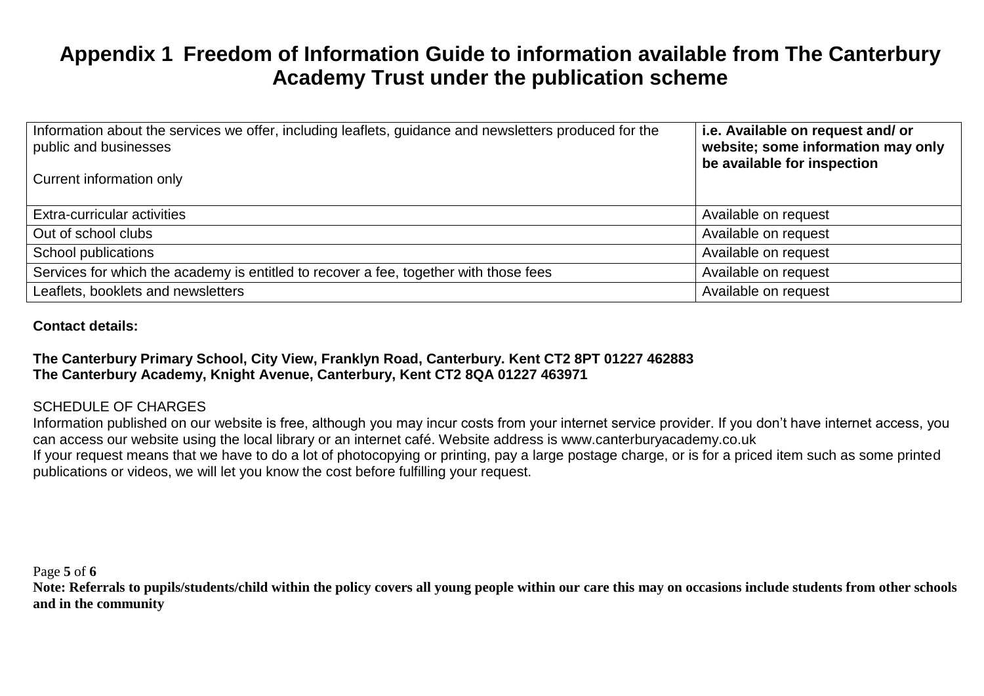| Information about the services we offer, including leaflets, guidance and newsletters produced for the<br>public and businesses | i.e. Available on request and/ or<br>website; some information may only<br>be available for inspection |
|---------------------------------------------------------------------------------------------------------------------------------|--------------------------------------------------------------------------------------------------------|
| Current information only                                                                                                        |                                                                                                        |
| Extra-curricular activities                                                                                                     | Available on request                                                                                   |
| Out of school clubs                                                                                                             | Available on request                                                                                   |
| School publications                                                                                                             | Available on request                                                                                   |
| Services for which the academy is entitled to recover a fee, together with those fees                                           | Available on request                                                                                   |
| Leaflets, booklets and newsletters                                                                                              | Available on request                                                                                   |

#### **Contact details:**

# **The Canterbury Primary School, City View, Franklyn Road, Canterbury. Kent CT2 8PT 01227 462883 The Canterbury Academy, Knight Avenue, Canterbury, Kent CT2 8QA 01227 463971**

## SCHEDULE OF CHARGES

Information published on our website is free, although you may incur costs from your internet service provider. If you don't have internet access, you can access our website using the local library or an internet café. Website address is www.canterburyacademy.co.uk If your request means that we have to do a lot of photocopying or printing, pay a large postage charge, or is for a priced item such as some printed publications or videos, we will let you know the cost before fulfilling your request.

Page **5** of **6**